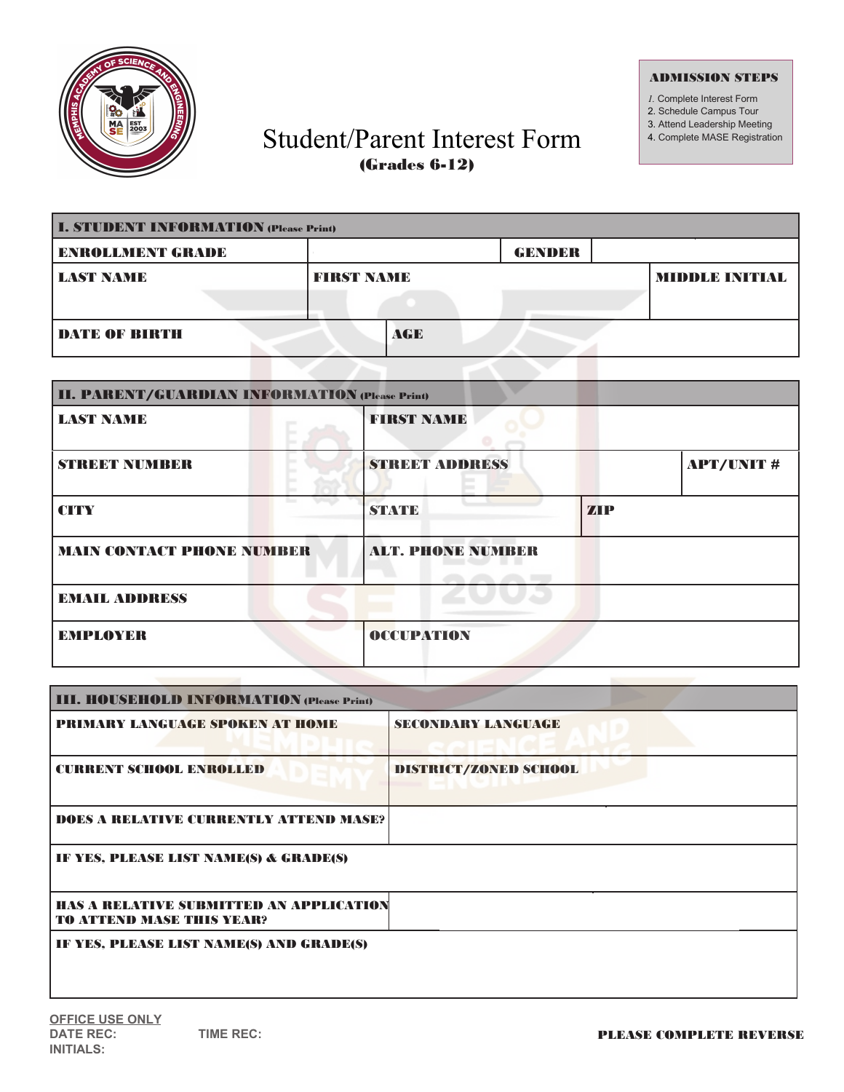

## ADMISSION STEPS

*1.* Complete Interest Form

- 2. Schedule Campus Tour
- 3. Attend Leadership Meeting
- 4. Complete MASE Registration

## Student/Parent Interest Form (Grades 6-12)

| <b>I. STUDENT INFORMATION (Please Print)</b> |  |                   |     |  |               |  |                      |
|----------------------------------------------|--|-------------------|-----|--|---------------|--|----------------------|
| <b>ENROLLMENT GRADE</b>                      |  |                   |     |  | <b>GENDER</b> |  |                      |
| <b>LAST NAME</b>                             |  | <b>FIRST NAME</b> |     |  |               |  | <b>MIDDLE INTIKL</b> |
| <b>DATE OF BIRTH</b>                         |  |                   | AGE |  |               |  |                      |

| <b>II. PARENT/GUARDIAN INFORMATION (Please Print)</b> |                          |            |                  |  |  |  |  |
|-------------------------------------------------------|--------------------------|------------|------------------|--|--|--|--|
| <b>LAST NAME</b>                                      | <b>FIRST NAME</b>        |            |                  |  |  |  |  |
| STREET NUMBER                                         | <b>STREET ADDRESS</b>    |            | <b>APT/UNIT#</b> |  |  |  |  |
| <b>CITY</b>                                           | <b>STATE</b>             | <b>ZIP</b> |                  |  |  |  |  |
| <b>MAIN CONTACT PHONE NUMBER</b>                      | <b>ALT. PHONE NUMBER</b> |            |                  |  |  |  |  |
| <b>EMAIL ADDRESS</b>                                  |                          |            |                  |  |  |  |  |
| <b>EMPLOYER</b>                                       | OCCUPATION               |            |                  |  |  |  |  |

| <b>PRIMARY LANGUAGE SPOKEN AT HOME</b>                                      | <b>SECONDARY LANGUAGE</b> |
|-----------------------------------------------------------------------------|---------------------------|
| <b>CURRENT SCHOOL ENROLLED</b>                                              | DISTRICT/ZONED SCHOOL     |
| <b>DOES A RELATIVE CURRENTLY ATTEND MASE?</b>                               |                           |
| IF YES, PLEASE LIST NAME(S) & GRADE(S)                                      |                           |
| HAS A RELATIVE SUBMITTED AN APPLICATION<br><b>TO ATTEND MASE THIS YEAR?</b> |                           |
| IF YES, PLEASE LIST NAME(S) AND GRADE(S)                                    |                           |